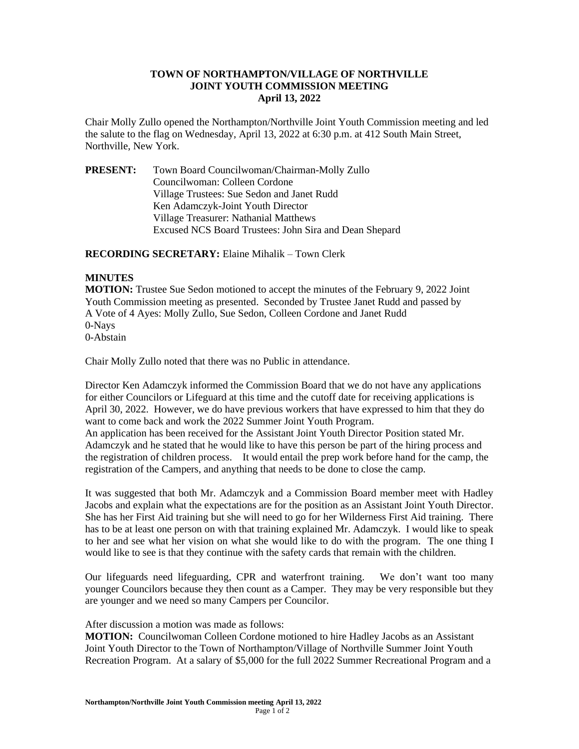## **TOWN OF NORTHAMPTON/VILLAGE OF NORTHVILLE JOINT YOUTH COMMISSION MEETING April 13, 2022**

Chair Molly Zullo opened the Northampton/Northville Joint Youth Commission meeting and led the salute to the flag on Wednesday, April 13, 2022 at 6:30 p.m. at 412 South Main Street, Northville, New York.

**PRESENT:** Town Board Councilwoman/Chairman-Molly Zullo Councilwoman: Colleen Cordone Village Trustees: Sue Sedon and Janet Rudd Ken Adamczyk-Joint Youth Director Village Treasurer: Nathanial Matthews Excused NCS Board Trustees: John Sira and Dean Shepard

## **RECORDING SECRETARY:** Elaine Mihalik – Town Clerk

## **MINUTES**

**MOTION:** Trustee Sue Sedon motioned to accept the minutes of the February 9, 2022 Joint Youth Commission meeting as presented. Seconded by Trustee Janet Rudd and passed by A Vote of 4 Ayes: Molly Zullo, Sue Sedon, Colleen Cordone and Janet Rudd 0-Nays 0-Abstain

Chair Molly Zullo noted that there was no Public in attendance.

Director Ken Adamczyk informed the Commission Board that we do not have any applications for either Councilors or Lifeguard at this time and the cutoff date for receiving applications is April 30, 2022. However, we do have previous workers that have expressed to him that they do want to come back and work the 2022 Summer Joint Youth Program.

An application has been received for the Assistant Joint Youth Director Position stated Mr. Adamczyk and he stated that he would like to have this person be part of the hiring process and the registration of children process. It would entail the prep work before hand for the camp, the registration of the Campers, and anything that needs to be done to close the camp.

It was suggested that both Mr. Adamczyk and a Commission Board member meet with Hadley Jacobs and explain what the expectations are for the position as an Assistant Joint Youth Director. She has her First Aid training but she will need to go for her Wilderness First Aid training. There has to be at least one person on with that training explained Mr. Adamczyk. I would like to speak to her and see what her vision on what she would like to do with the program. The one thing I would like to see is that they continue with the safety cards that remain with the children.

Our lifeguards need lifeguarding, CPR and waterfront training. We don't want too many younger Councilors because they then count as a Camper. They may be very responsible but they are younger and we need so many Campers per Councilor.

After discussion a motion was made as follows:

**MOTION:** Councilwoman Colleen Cordone motioned to hire Hadley Jacobs as an Assistant Joint Youth Director to the Town of Northampton/Village of Northville Summer Joint Youth Recreation Program. At a salary of \$5,000 for the full 2022 Summer Recreational Program and a